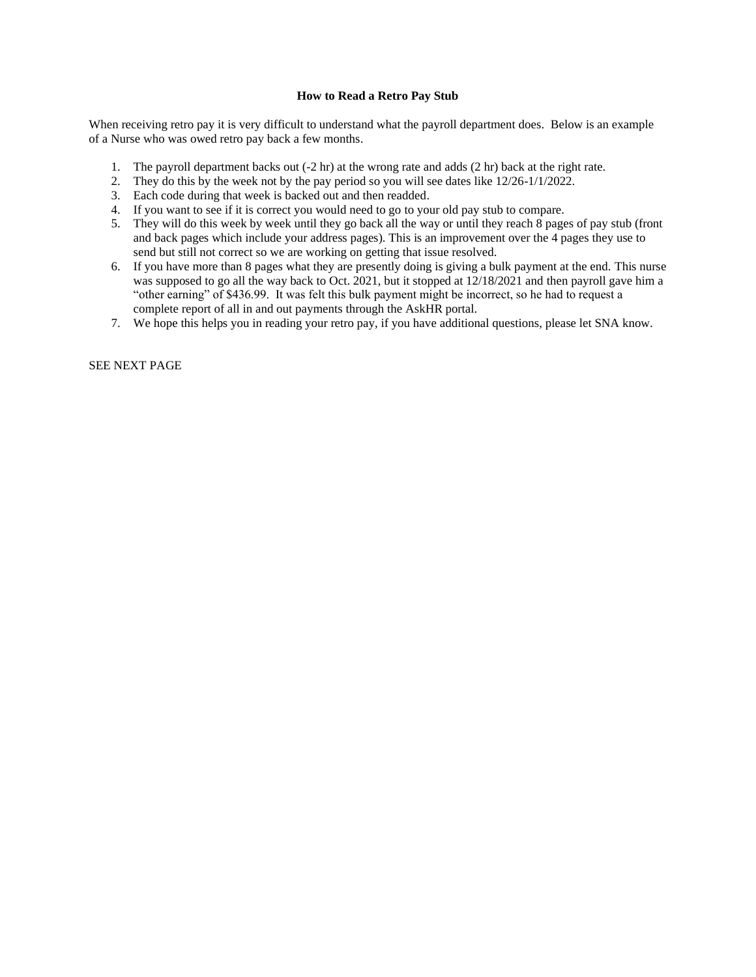## **How to Read a Retro Pay Stub**

When receiving retro pay it is very difficult to understand what the payroll department does. Below is an example of a Nurse who was owed retro pay back a few months.

- 1. The payroll department backs out (-2 hr) at the wrong rate and adds (2 hr) back at the right rate.
- 2. They do this by the week not by the pay period so you will see dates like 12/26-1/1/2022.
- 3. Each code during that week is backed out and then readded.
- 4. If you want to see if it is correct you would need to go to your old pay stub to compare.
- 5. They will do this week by week until they go back all the way or until they reach 8 pages of pay stub (front and back pages which include your address pages). This is an improvement over the 4 pages they use to send but still not correct so we are working on getting that issue resolved.
- 6. If you have more than 8 pages what they are presently doing is giving a bulk payment at the end. This nurse was supposed to go all the way back to Oct. 2021, but it stopped at 12/18/2021 and then payroll gave him a "other earning" of \$436.99. It was felt this bulk payment might be incorrect, so he had to request a complete report of all in and out payments through the AskHR portal.
- 7. We hope this helps you in reading your retro pay, if you have additional questions, please let SNA know.

SEE NEXT PAGE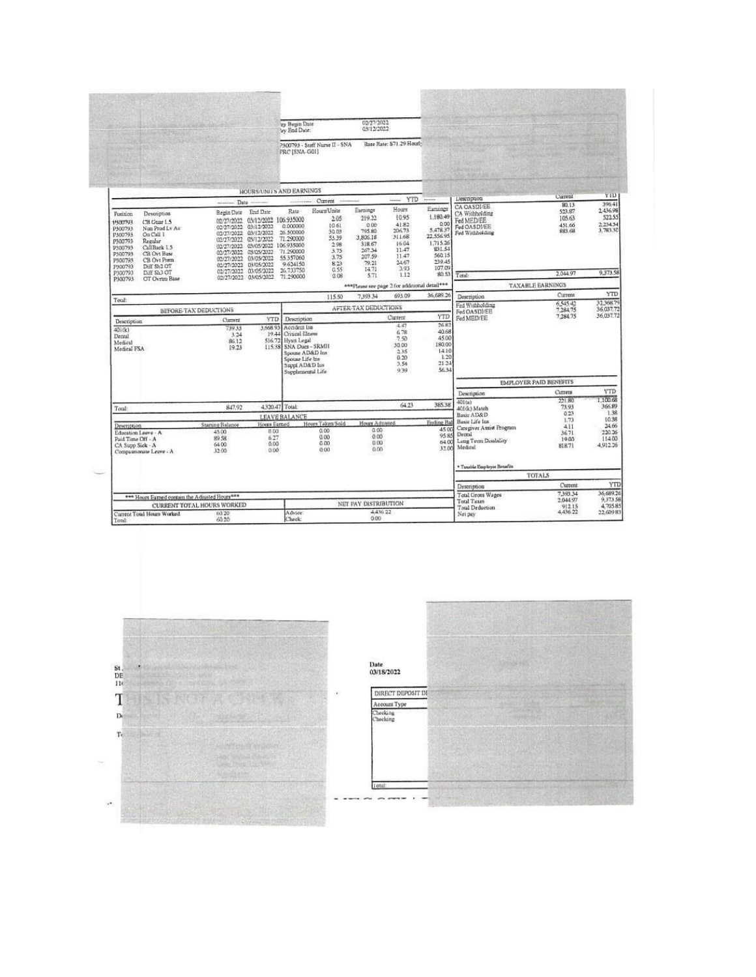|                                                                                                                                                                                                                                                                                |                                                                                                                                                                                                                                                 | ay Begin Date<br>ay End Date:                                                                                                                                                                          | 02/27/2022<br>03/12/2022                                                                                                                                                           |                                                                                                                                   |                                                                                                                    |                                                                                          |                                                |                                                        |  |
|--------------------------------------------------------------------------------------------------------------------------------------------------------------------------------------------------------------------------------------------------------------------------------|-------------------------------------------------------------------------------------------------------------------------------------------------------------------------------------------------------------------------------------------------|--------------------------------------------------------------------------------------------------------------------------------------------------------------------------------------------------------|------------------------------------------------------------------------------------------------------------------------------------------------------------------------------------|-----------------------------------------------------------------------------------------------------------------------------------|--------------------------------------------------------------------------------------------------------------------|------------------------------------------------------------------------------------------|------------------------------------------------|--------------------------------------------------------|--|
|                                                                                                                                                                                                                                                                                |                                                                                                                                                                                                                                                 | P300793 - Staff Nurse II - SNA<br>PRC (SNA-GOI)                                                                                                                                                        |                                                                                                                                                                                    | Rage Rate: \$71.29 Hourl-                                                                                                         |                                                                                                                    |                                                                                          |                                                |                                                        |  |
|                                                                                                                                                                                                                                                                                |                                                                                                                                                                                                                                                 | <b>HOURS/UNITS AND EARNINGS</b>                                                                                                                                                                        |                                                                                                                                                                                    |                                                                                                                                   |                                                                                                                    |                                                                                          |                                                |                                                        |  |
|                                                                                                                                                                                                                                                                                | Date                                                                                                                                                                                                                                            | Current<br>                                                                                                                                                                                            |                                                                                                                                                                                    | <b>YTD</b><br><b>Service</b>                                                                                                      |                                                                                                                    | Liesenpnon                                                                               | Current<br>80.13                               | YID<br>396.41                                          |  |
| <b>Position</b><br>Desemption<br>CB Guar 1.5<br><b>PARTITALS</b><br>Non Prod Lv Av<br>P300793<br>On Call 1<br>P300793<br>Regular<br>P300793<br>CallBack 1.5<br>P300793<br>P300793<br>CB Ovt Base<br>P300793<br>CB Ovt Prem<br>Diff Sh2 OT<br>P300793<br>P300793<br>Diff SL3 OT | End Date<br>Begin Date<br>02/27/2022<br>03/12/2022<br>0227/2022<br>02/27/2022 03/12/2022<br>02/27/2022<br>03/12/2022<br>02/27/2022<br>03/05/2022<br>02/27/2022<br>03/05/2022<br>02/27/2022<br>03/05/2022<br>01/27/2022<br>02/27/2022 03/05/2022 | Hours'Units<br>Rate:<br>03/12/2022 106.935000<br>0.000000<br>26.500000<br>71,290000<br>03/05/2022 106.935000<br>71.290000<br>55.357060<br>9.634150<br>26.733750                                        | Earnings<br>219.22<br>2.05<br>0.00<br>10.61<br>795.80<br>30.03<br>3,806.18<br>53.39<br>318.67<br>2.98<br>267.34<br>3.75<br>207.59<br>3.75<br>79.21<br>823<br>14.71<br>0.55<br>5.71 | Houre<br>1095<br>41.82<br>206.73<br>311.68<br>16.04<br>11.47<br>11.47<br>24.67<br>3.93<br>1.12                                    | Earnings<br>1.180.49<br>0.00<br>5,478.37<br>22.556.95<br>1,715.26<br>831.54<br>560.15<br>239.45<br>107.09<br>80.53 | CA OASDI/EE<br>CA Withhelding<br>Fed MED/EE<br>Fed OASDI/EE<br>Fed Withholding<br>Total: | \$23.87<br>105.63<br>451.66<br>88.68<br>204497 | 2.436.98<br>522.55<br>2.234.34<br>3,783.30<br>9.373.58 |  |
| P300793<br>OT Ovrtm Base                                                                                                                                                                                                                                                       | 02/27/2022 03/05/2022                                                                                                                                                                                                                           | 71.290000                                                                                                                                                                                              | 0.08<br>*** Please see page 2 for additional detail***                                                                                                                             |                                                                                                                                   |                                                                                                                    |                                                                                          | <b>TAXABLE EARNINGS</b>                        |                                                        |  |
|                                                                                                                                                                                                                                                                                |                                                                                                                                                                                                                                                 |                                                                                                                                                                                                        | 7,393.34<br>115.50                                                                                                                                                                 | 693.09                                                                                                                            | 36,689.26                                                                                                          |                                                                                          | Current                                        | YTD                                                    |  |
| Tecal:                                                                                                                                                                                                                                                                         |                                                                                                                                                                                                                                                 |                                                                                                                                                                                                        |                                                                                                                                                                                    |                                                                                                                                   |                                                                                                                    | Description<br>Fed Withholding                                                           | 6.54542                                        | 32.368.79                                              |  |
|                                                                                                                                                                                                                                                                                | BEFORE-TAX DEDUCTIONS                                                                                                                                                                                                                           |                                                                                                                                                                                                        | AFTER-TAX DEDUCTIONS                                                                                                                                                               | Current                                                                                                                           | Fed OASDI/EE                                                                                                       | 7,284.75<br>7.284.75                                                                     | 36.037.72<br>36,037.72                         |                                                        |  |
| Description<br>40(6)<br>Dental<br>Medical<br>Medical FSA                                                                                                                                                                                                                       | Current.<br>739.35<br>3.24<br>B6.12<br>19.23                                                                                                                                                                                                    | YTD<br>Description<br>5.008.93<br>Accident lits<br>1944 Critical Elness<br>516.72 Hyatt Legal<br>SNA Dues - SRMH<br>11538<br>Spouse AD&D Ins<br>Spouse Life Ins<br>Suppl AD&D lus<br>Supplemental Life |                                                                                                                                                                                    | 268<br>4.47<br>40.68<br>6.78<br>45.00<br>7.50<br>180.00<br>30.00<br>1410<br>235<br>1.20<br>0.20<br>21.24<br>2.54<br>56.34<br>0.39 |                                                                                                                    | Fed MED/EE                                                                               |                                                |                                                        |  |
|                                                                                                                                                                                                                                                                                |                                                                                                                                                                                                                                                 |                                                                                                                                                                                                        |                                                                                                                                                                                    |                                                                                                                                   |                                                                                                                    |                                                                                          | <b>EMPLOYER PAID BENEFITS</b>                  |                                                        |  |
|                                                                                                                                                                                                                                                                                |                                                                                                                                                                                                                                                 |                                                                                                                                                                                                        |                                                                                                                                                                                    |                                                                                                                                   |                                                                                                                    | Description                                                                              | Current                                        | YTD                                                    |  |
| Total:                                                                                                                                                                                                                                                                         | 847.92                                                                                                                                                                                                                                          | 4320.47 Total:                                                                                                                                                                                         |                                                                                                                                                                                    | 64.23                                                                                                                             | 38538                                                                                                              | 401(a)<br>401(k) Match                                                                   | 221.80<br>73.93<br>0.23                        | 1,100.68<br>366.89<br>1.38                             |  |
|                                                                                                                                                                                                                                                                                |                                                                                                                                                                                                                                                 | LEAVE BALANCE<br>Hours Taken Sold<br>Hossa Earned                                                                                                                                                      | Hours Admitted                                                                                                                                                                     |                                                                                                                                   | <b>Endine Bal</b>                                                                                                  | Basic AD&D<br>Basic Life Ins                                                             | 1.73                                           | 10.38                                                  |  |
| Description<br>Education Leave - A<br>Paid Time Off - A<br>CA Supp Sick - A<br>Compassionate Leave - A                                                                                                                                                                         | Starting Balance<br>45.00<br>89.98<br>64.00<br>32.00                                                                                                                                                                                            | 0.00<br>8.03<br>0.00<br>6.27<br>0.00<br>0.00<br>0.00<br>0.00                                                                                                                                           | 0.00<br>0.00<br>0.00<br>0.00                                                                                                                                                       |                                                                                                                                   | 4500<br>95.85<br>64.00<br>3200                                                                                     | Caregives Assist Program<br>Dental<br>Long Term Desability<br>Medical                    | 411<br>36.71<br>19.00<br>818.71                | 24.66<br>220.26<br>114.00<br>4,912.26                  |  |
|                                                                                                                                                                                                                                                                                |                                                                                                                                                                                                                                                 |                                                                                                                                                                                                        |                                                                                                                                                                                    |                                                                                                                                   |                                                                                                                    | * Taxable Eug kryer Brasilits<br><b>TOTALS</b>                                           |                                                |                                                        |  |
|                                                                                                                                                                                                                                                                                |                                                                                                                                                                                                                                                 |                                                                                                                                                                                                        |                                                                                                                                                                                    |                                                                                                                                   |                                                                                                                    |                                                                                          | Current                                        | <b>YTD</b>                                             |  |
|                                                                                                                                                                                                                                                                                |                                                                                                                                                                                                                                                 |                                                                                                                                                                                                        |                                                                                                                                                                                    |                                                                                                                                   |                                                                                                                    | Description<br>Total Grots Wages                                                         | 739334                                         | 36,689.26                                              |  |
| *** Hours Earned contain the Adjusted Hours***                                                                                                                                                                                                                                 | <b>CURRENT TOTAL HOURS WORKED</b>                                                                                                                                                                                                               |                                                                                                                                                                                                        | NET PAY DISTRIBUTION                                                                                                                                                               |                                                                                                                                   |                                                                                                                    | <b>Total Taxes</b>                                                                       | 204497                                         | 9,373.58<br>4,705.85                                   |  |
| Current Total Hours Worked<br>Total:                                                                                                                                                                                                                                           | 60.20<br>60.20                                                                                                                                                                                                                                  | Advice:<br>Check.                                                                                                                                                                                      | 4436.22<br>0.00                                                                                                                                                                    |                                                                                                                                   |                                                                                                                    | Total Deduction<br>Net pay                                                               | 912.15<br>4,436.22                             | 22.609.83                                              |  |



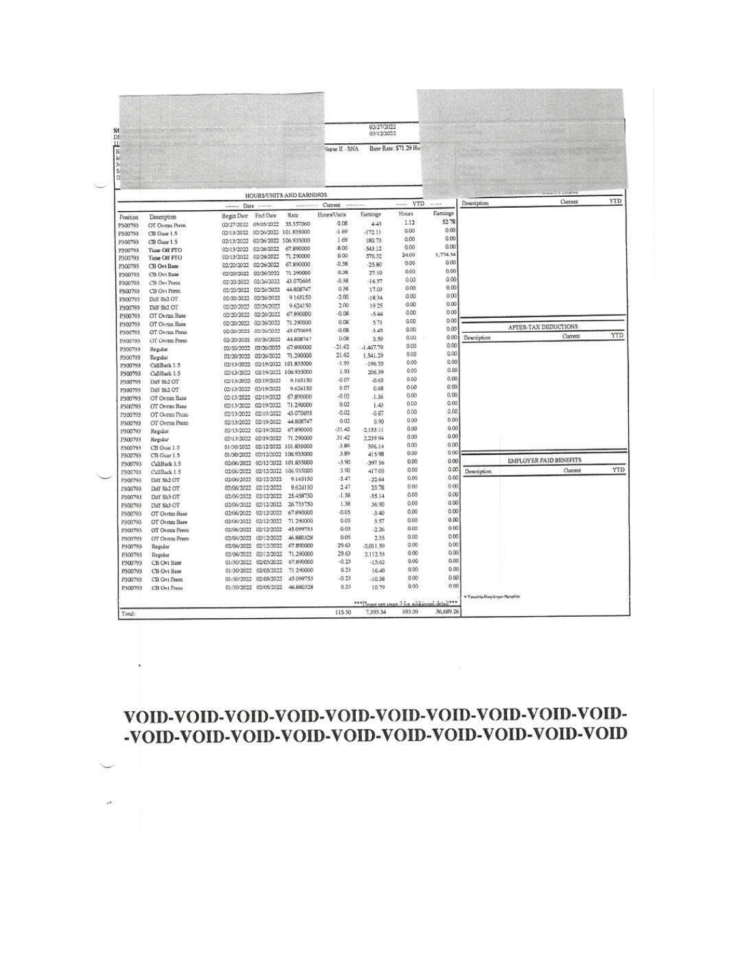## 

| St<br>DF                      |                             |                                  |                                                |                                  |                 | 02/27/2022<br>03/12/2022                       |                       |                |                           |                               |            |
|-------------------------------|-----------------------------|----------------------------------|------------------------------------------------|----------------------------------|-----------------|------------------------------------------------|-----------------------|----------------|---------------------------|-------------------------------|------------|
| Ш<br>E<br>$\frac{1}{3}$<br>5i |                             |                                  |                                                |                                  | Nurse II - SNA  |                                                | Base Rate: \$71.29 Ho |                |                           |                               |            |
| D                             |                             |                                  |                                                | HOURS/UNITS AND EARNINGS         |                 |                                                |                       |                |                           |                               |            |
|                               |                             | Date                             |                                                |                                  | Current<br>2.21 |                                                | <b>YTD</b>            |                | Description               | Current                       | <b>YTD</b> |
| Position                      | Description                 | Begin Date                       | End Date                                       | Rate                             | Hours/Units     | Earnings                                       | Hours                 | Eamings        |                           |                               |            |
| P300793                       | OT Ovrun Prem               | 02/27/2022 03/05/2022            |                                                | 55.357060                        | 0.06            | 443                                            | 1.12                  | 5278           |                           |                               |            |
| P300793                       | CB Guar 1.5                 | 02/13/2022 02/26/2022 101.835000 |                                                |                                  | $-1.69$         | $-172.11$                                      | 0.00                  | 0.00           |                           |                               |            |
| P300793                       | CB Guar 1.5                 | 02/13/2022                       | 02/26/2022 106.935000                          |                                  | 1.69            | 180.73                                         | 0.00                  | 0.00           |                           |                               |            |
| 7300793                       | Time Off PTO                | 02/13/2022                       | 02/26/2022                                     | 67,890000                        | 8.00            | 543.12                                         | 0.00                  | 0.00           |                           |                               |            |
| P300793                       | Time Off PTO                | 02/13/2022                       | 02/26/2022                                     | 71.290000                        | 8.00            | 570.32                                         | 24.00                 | 1,774.34       |                           |                               |            |
| P300793                       | CB Ovt Base                 | 02/20/2022 02/26/2022            |                                                | 67.890000                        | $-0.38$         | $-2580$                                        | 0.00                  | 0.00           |                           |                               |            |
| P300793                       | CB Ovt Base                 | 02/20/2022                       | 02/26/2022                                     | 71.290000                        | 0.38            | 27.10                                          | 0.00                  | 0,00           |                           |                               |            |
| P300793                       | CB Ovt Prem                 | 03/20/2022 02/26/2022            |                                                | 43.070695                        | 0.38            | $-1637$                                        | 0.03                  | 0.00           |                           |                               |            |
| P300793                       | CB Ovi Prem-                | 02/20/2022                       | 02/26/2022                                     | 44.808747                        | 0.38            | 17.03                                          | 0.00                  | 0.00           |                           |                               |            |
| P300793                       | Diff Sh2 OT                 | 02/20/2022 02/26/2022            |                                                | 9.165150                         | $-2.00$         | $-18.34$                                       | <b>GOO</b>            | 0.00           |                           |                               |            |
| P300793                       | Diff Sh2 OT                 | 02/20/2022                       | 02/26/2022                                     | 9 624150                         | 200             | 19.25                                          | 0.00                  | 0.00<br>0.00   |                           |                               |            |
| P300793                       | OT Ovrun Base               | 02/20/2022                       | 02/26/2022                                     | 67.890000                        | $-0.08$         | $-544$                                         | 0.00                  | 0.00           |                           |                               |            |
| P300793                       | OT Ovrtm Base               | 02/20/2022                       | 02/26/2022                                     | 71,290000                        | 0.08            | 571                                            | 0.00                  | 0.00           |                           | AFTER-TAX DEDUCTIONS          |            |
| P300793                       | OT Ovrtm Prem               | 02/20/2022 02/26/2022            |                                                | 43.070695                        | 0.08            | 3.45                                           | 0.00                  | 0.00           |                           | Current                       | YTD        |
| P300793                       | OT Ovnm Prem                | 02/20/20/22                      | 02/26/2022                                     | 44.808747                        | 0.08            | 3.59                                           | 0.OO<br>000           | 0.00           | Description               |                               |            |
| P300793                       | Regular                     |                                  | 02/30/3022 02/36/2022                          | 67,890000                        | $-21.62$        | $-1.467.79$                                    | 0.00                  | 0.00           |                           |                               |            |
| P300793                       | Regular                     |                                  | 02/20/2022 02/26/2022                          | 71.290000                        | 21.62           | 1.541.29                                       | 0.00                  | 0.00           |                           |                               |            |
| P300793                       | CallBack 1.5                |                                  |                                                | 02/13/2022 02/19/2022 101.835000 | $-1.93$         | $-196.55$                                      | 0.00                  | 0.00           |                           |                               |            |
| P300793                       | CallBack 1.5                |                                  |                                                | 02/13/2022 02/19/2022 106:935000 | 1.93<br>$-0.07$ | 206.39                                         | 0.00                  | 0.00           |                           |                               |            |
| P300793                       | Diff Sh2 OT                 |                                  | 02/13/2022 02/19/2022                          | 9.165150                         |                 | $-0.65$                                        | 0.00                  | 0.00           |                           |                               |            |
| P300793                       | Diff Sh2 OT                 |                                  | 02/13/2022 02/19/2022                          | 9.634150                         | 0:07<br>$-0.02$ | 0.68                                           | 0.00                  | 0.00           |                           |                               |            |
| P300793                       | OT Ovrun Base               | 02/13/2022                       | 02/19/2022                                     | 67.890000                        | 0.02            | 1.36                                           | 0.00                  | 0.00           |                           |                               |            |
| P300793                       | OT Ovrim Base               |                                  | 02/13/2022 02/19/2022                          | 71.290000                        | $-0.02$         | 1.43                                           | 0.00                  | 0.00           |                           |                               |            |
| P300793                       | OT Ovrun Prem-              | 02/13/2022                       | 02/19/2022                                     | 43.070695                        | 0.02            | $-0.67$<br>0.90                                | 0.00                  | 0.00           |                           |                               |            |
| P300793                       | OT Ovrim Prem               | 02/13/2022                       | 02/19/2022                                     | 44.808747<br>67.890000           | $-31.42$        | $-2.133.11$                                    | 0.00                  | 0.00           |                           |                               |            |
| P300793                       | Regular                     |                                  | 02/13/2022 02/19/2022<br>02/13/2022 02/19/2022 | 71.290000                        | 31.42           | 2,239.94                                       | 000                   | 0.00           |                           |                               |            |
| P300793                       | Regular                     |                                  |                                                | 02/12/2022 101.835000            | 3.90            | 396.14                                         | 000                   | 0.00           |                           |                               |            |
| P300793                       | CB Guar 1.5                 | 01/30/2022                       |                                                | 01/30/2022 02/12/2022 106 935000 | 3.89            | 415.98                                         | 0.00                  | 0.00           |                           |                               |            |
| P300793                       | CB Guar 1.5<br>CallBack 1.5 |                                  |                                                | 02/06/2022 02/12/2022 101.835000 | $-3.90$         | 397.16                                         | 0.00                  | 0 <sup>o</sup> |                           | <b>EMPLOYER PAID BENEFITS</b> |            |
| P300793                       | CallBack 1.5                | 02/06/2022                       |                                                | 02/12/2022 106.935000            | 3.00            | 417.05                                         | 0.00                  | 0 <sup>o</sup> | <b>Description</b>        | Current                       | YTD        |
| F300793<br>P300793            | Diff Sh2 OT                 |                                  | 02/06/2022 02/12/2022                          | 9.165150                         | $-2.47$         | $-22.64$                                       | 0.00                  | 0 <sup>0</sup> |                           |                               |            |
| P300793                       | Diff Sh2 OT                 | 02/06/2022                       | 02/12/2022                                     | 9.624150                         | 2.47            | 23.78                                          | 0.00                  | 0.00           |                           |                               |            |
| P300793                       | Diff Sh3 OT                 | 02/06/2022                       | 02/12/2022                                     | 25.458750                        | $-1.38$         | .3514                                          | 0.00                  | 0.00           |                           |                               |            |
|                               | Diff. Sh3 OT                | 02/06/2022                       | 02/12/2022                                     | 26.733750                        | 1.38            | 36.90                                          | 0.00                  | 0.00           |                           |                               |            |
| P300793<br>P300793            | OT Ovrtm Base               |                                  | 02/06/2022 02/12/2022                          | 67,890000                        | 0.05            | .3.40                                          | 0.00                  | 0.00           |                           |                               |            |
| P300793                       | OT Ovrtm Base               | 02/06/2022                       | 02/12/3022                                     | 71.290000                        | 0.05            | 3.57                                           | 0.00                  | 0.00           |                           |                               |            |
| 9500793                       | OT Ovrtm Prem               | 02/06/2022                       | 02/12/2022                                     | 45.099753                        | 0.05            | 2.26                                           | 0.00                  | 0.00           |                           |                               |            |
| P300793                       | OT Ovetm Prem               | 03/06/2022                       | 02/12/2022                                     | 46.880328                        | 0.05            | 2.35                                           | 0.00                  | 0.00           |                           |                               |            |
| P300793                       | Regular                     |                                  | 02/06/2022 02/12/2022                          | 67.890000                        | 29.63           | $-2.011.59$                                    | 0.00                  | 0.00           |                           |                               |            |
| P300793                       | Regular                     |                                  | 02/06/2022 02/12/2022                          | 71.290000                        | 29.63           | 2,112.33                                       | 0.00                  | 0.00           |                           |                               |            |
| P300793                       | CB Ovi Base                 |                                  | 01/30/2022 02/05/2022                          | 67.890000                        | $-0.23$         | $-15.62$                                       | 0.00                  | 0,00           |                           |                               |            |
| P300793                       | CB Ovt Base                 |                                  | 01/30/2022 02/05/2022                          | 71.290000                        | 0.23            | 16.40                                          | 0.00                  | 0.00           |                           |                               |            |
| 1900703                       | CB Ovt Prem                 |                                  | 01/30/2022 02/05/2022                          | 45.099753                        | $-0.23$         | $-10.38$                                       | 0.00                  | 0.00           |                           |                               |            |
| P300793                       | CB Ovt Frem                 |                                  | 01/30/2022 02/05/2022                          | 46.880328                        | 0.23            | 10.79                                          | 0.00                  | 0(1)           |                           |                               |            |
|                               |                             |                                  |                                                |                                  |                 |                                                |                       |                | * Twaida Bandreer Recette |                               |            |
|                               |                             |                                  |                                                |                                  |                 | *** Please see page 3 for additional detail*** |                       |                |                           |                               |            |
|                               |                             |                                  |                                                |                                  |                 |                                                |                       |                |                           |                               |            |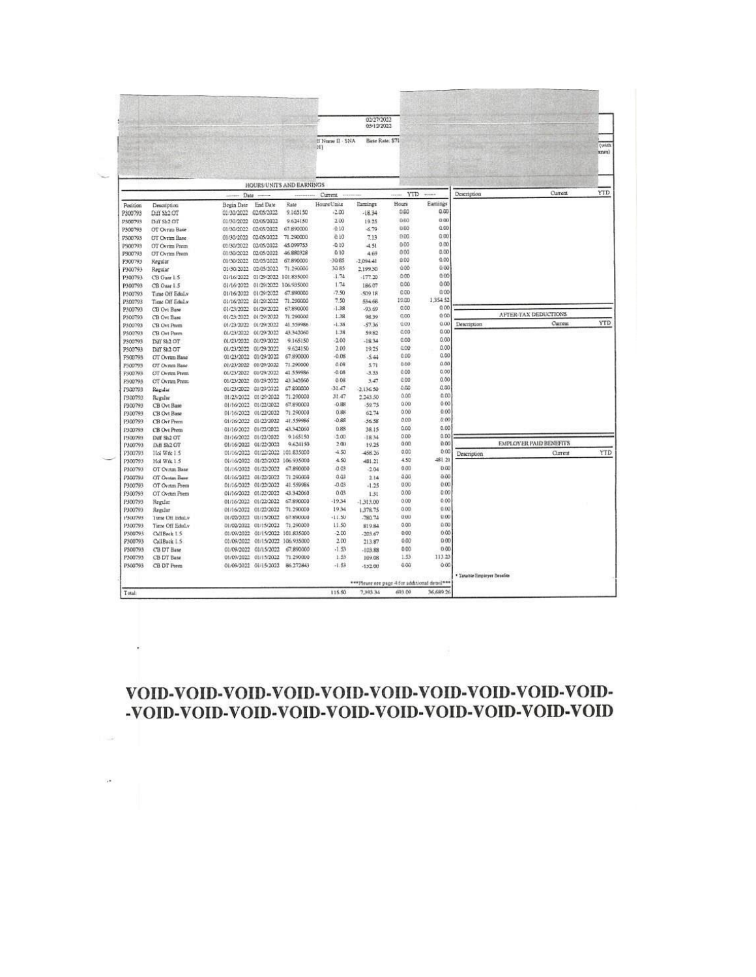## 

All Contractors

 $-12$ 

 $\mu$  .

|                    |                                                 |            |                          |                          |                       | 02/27/2022<br>03/12/2022                       |       |                |                               |         |  |
|--------------------|-------------------------------------------------|------------|--------------------------|--------------------------|-----------------------|------------------------------------------------|-------|----------------|-------------------------------|---------|--|
|                    |                                                 |            |                          |                          | H Nurse II - SNA<br>H | Base Rate: \$71                                |       |                |                               |         |  |
|                    |                                                 |            |                          | HOURS/UNITS AND EARNINGS |                       |                                                |       |                |                               |         |  |
|                    |                                                 | Date       |                          |                          | Current               |                                                | YTD   | $-0.00000$     | Description                   | Current |  |
| Position           | Description                                     | Begin Date | <b>End Date</b>          | Rate                     | Hours/Units           | Earnings                                       | Hours | Earnings       |                               |         |  |
| P300793            | Diff Sh2 OT                                     | 01/30/2022 | 02/05/2022               | 9.165150                 | ,2.00                 | $-1834$                                        | 0.00  | 0.00           |                               |         |  |
| P300793            | Diff SE2 OT                                     | 01/30/2022 | 02/05/2022               | 9.624150                 | 200                   | 19.25                                          | 000   | 0.00           |                               |         |  |
| P300793            | OT Ovrun Base                                   | 01/30/2022 | 02/05/2022               | 67,890000                | 0.10                  | $-6.79$                                        | 0.00  | 0.00           |                               |         |  |
| P300793            | OT Ovrim Base                                   | 01/30/2022 | 02/05/2022               | 71.290000                | 0.10                  | 7.13                                           | 0.00  | 0.00           |                               |         |  |
| 2300793            | OT Ovetm Prem                                   | 01/30/2022 | 02/05/2022               | 45.099753                | $-0.10$               | $-4.51$                                        | 0.00  | 0.00           |                               |         |  |
| P300793            | OT Ovrim Prem                                   | 01/30/2022 | 02/05/2022               | 46.880328                | 0.10                  | 4.69                                           | 000   | 0.00           |                               |         |  |
| P300793            | Kegular                                         | 01/30/2022 | 02/05/2022               | 67,890000                | $-30.85$              | $-2.094.41$                                    | 0.00  | 0.00           |                               |         |  |
| P300793            | Regular                                         | 01/30/2022 | 02/05/2022               | 71.290000                | 30.85                 | 2.199.50                                       | 000   | 0.00           |                               |         |  |
| P300793            | CB Ouar 1.5                                     | 01/16/2022 | 01/29/2022               | 101.835000               | $-1.74$               | $-177.20$                                      | 0.00  | 0.00           |                               |         |  |
| P300793            | CB Guar 1.5                                     | 01/16/2022 | 01/29/2022               | 106,935000               | 1.74                  | 166.07                                         | 0.00  | 0.00           |                               |         |  |
| P300793            | Time Off Edul.y                                 | 01/16/2022 | 01/29/2022               | 67.890000                | .7.90                 | 81,002                                         | 0.00  | 0.00           |                               |         |  |
| P300793            | Time Off Edul y                                 | 01/16/2022 | 01/29/2022               | 71.200000                | 7.50                  | 534.68                                         | 19.00 | 1354 52        |                               |         |  |
| P300793            | CB Ovt Base                                     | 01/23/2022 | 01/29/2022               | 67,890000                | $-1.38$               | $-93.69$                                       | 0.00  | 000            |                               |         |  |
| P300793            | CB Ovt Base                                     |            | 01/23/2022 01/29/2022    | 71.290000                | 1.38                  | 98.39                                          | 000   | 0.00           | AFTER-TAX DEDUCTIONS          |         |  |
| P300793            | CB Ovt Prem                                     |            | 01/23/2022 01/29/2022    | 41.559986                | $-1.38$               | $-57.36$                                       | 0.00  | 0.00           | Description                   | Current |  |
| P300793            | CB Civi Prem                                    | 01/23/2022 | 01/29/2022               | 43.342060                | 1.38                  | 59.82                                          | 0.00  | 0.00           |                               |         |  |
| P300793            | Diff Sh2 OT                                     | 01/23/2022 | 01/29/2022               | 9.165150                 | $-2.00$               | $-1834$                                        | 0.00  | 0.00           |                               |         |  |
|                    |                                                 | 01/23/2022 | 01/29/2022               | 9.624150                 | 2.00                  | 19.25                                          | 0.00  | 0.00           |                               |         |  |
| P300793            | Diff Sh <sub>2</sub> OT<br><b>CT</b> Ovrtm Base | 01/23/2022 | 01/29/2022               | 67.890000                | $-0.08$               | $-5.44$                                        | 0.00  | 0.00           |                               |         |  |
| P300793<br>P300793 | OT Ovnm Base                                    | 01/23/2022 | 01/29/2022               | 71.290000                | 0.08                  | 5.71                                           | 0.00  | 0.00           |                               |         |  |
|                    | OT Ovnm Prem                                    | 01/23/2022 | 01/29/2022               | 41.559986                | $-0.08$               | $-3.33$                                        | 0.00  | 0.00           |                               |         |  |
| P300793            |                                                 | 01/23/2022 | 01/29/2022               | 43.342060                | 0.08                  | 3.47                                           | 0.00  | 0.00           |                               |         |  |
| P300793            | OT Ovrum Prem                                   | 01/23/2022 | 01/20/2022               | 67.800000                | 31.47                 |                                                | 0.00  | 0.00           |                               |         |  |
| 1300793            | Regular                                         |            | 01/29/2022               | 71,290000                | 31.47                 | $-2,136.50$<br>2.243.50                        | 0.00  | 0.00           |                               |         |  |
| 1300793            | Regular                                         | 01/23/2022 | 01/16/2022 01/22/2022    | 67,890000                | $-0.88$               | 59.75                                          | 0.00  | 0.00           |                               |         |  |
| P300793            | CB Ovt Base                                     | 01/16/2022 | 01/22/2022               | 71.290000                | 0.88                  | 62.74                                          | 000   | 0.00           |                               |         |  |
| P300793            | CB Ovt Base                                     | 01/16/2022 | 01/23/2022               | 41.559986                | $-0.88$               | 36.58                                          | 0.00  | 0.00           |                               |         |  |
| P300793            | CB Ovt Prem                                     |            |                          | 43.342060                | 0.88                  | 38.15                                          | 0.00  | 0.00           |                               |         |  |
| P300793            | CB Ovt Prem                                     |            | 01/16/2022 01/22/2022    |                          |                       |                                                | 000   | 0.00           |                               |         |  |
| 1500793            | Diff SE2 OT                                     | 01/16/2022 | 01/22/2022               | 9.165150<br>9.624150     | $-2.00$<br>200        | $-18.34$                                       | 0.00  | 0 <sup>o</sup> | <b>EMPLOYER PAID BENEFITS</b> |         |  |
| P300793            | Diff Sh2 OT                                     | 01/16/2022 | 01/22/2022<br>01/22/2022 | 101.835000               | 4.50                  | 19.25                                          | 0.00  | 0.00           |                               |         |  |
| P300793            | Hot Witk 1.5                                    | 01/16/2022 |                          |                          | 4.50                  | 458.26                                         | 4.50  | 481.21         | Description                   | Current |  |
| P300793            | Hol Wrk 1.5                                     | 01/16/2022 | 01/22/2022               | 106.935000               |                       | 481.21                                         | 0.00  | 000            |                               |         |  |
| P300793            | OT Ovitin Rase                                  | 01/16/2022 | 01/22/2022               | 67.890000                | 0.03                  | $-2.04$                                        |       |                |                               |         |  |
| P303793            | OT Ovelan Base                                  | 01/16/2022 | 01/22/2022               | 71.290000                | 0.03                  | 2.14                                           | 400   | 0.00           |                               |         |  |
| P300793            | OT Ovitm Prem                                   |            | 01/16/3022 01/22/2022    | 41.559986                | $-0.03$               | $-1.25$                                        | 0.00  | 0.00           |                               |         |  |
| P300793            | OT Ovrtm Prem                                   | 01/16/2022 | 01/22/2022               | 43.342060                | 0.03                  | 1.31                                           | 0.00  | 0.00           |                               |         |  |
| P300793            | Regular                                         | 01/16/2022 | 01/22/2022               | 67.890000                | $-19.34$              | $-1.313.00$                                    | 0.00  | 0.00           |                               |         |  |
| P300793            | Regular                                         | 01/16/2022 | 01/22/2022               | 71.290000                | 19.34                 | 1,378.75                                       | 000   | 0.00           |                               |         |  |
| PAULTNA            | Time Off Edul.v                                 | D1/02/2022 | 01/15/2022               | 67.890000                | $-11.50$              | $-780.74$                                      | 000   | 0.00           |                               |         |  |
| P300793            | Time Off Edul.v                                 |            | D1/02/2022 01/15/2022    | 71.290000                | 11.50                 | 819.84                                         | 0.00  | 0.00           |                               |         |  |
| P300793            | CallBack 1.5                                    | 01/09/2022 | 01/15/2022               | 101.835000               | $-2.00$               | $-203.67$                                      | 0.00  | 0.00           |                               |         |  |
| P300793            | CallBack 1.5                                    | 01/09/2022 | 01/15/2022               | 106.935000               | 2.00                  | 213.87                                         | 0.00  | 0.00           |                               |         |  |
| P300793            | C'B DT Hase                                     | 01/09/2022 | 01/15/2022               | 67.890000                | $-1.53$               | $-103.88$                                      | 0.00  | 0.00           |                               |         |  |
| P300793            | <b>CB</b> DT Base                               | 01/09/2022 | 01/15/2022               | 71.290000                | 1.53                  | 109.08                                         | 1.53  | 113.23         |                               |         |  |
| P300793            | CB DT Frem                                      |            | 01/09/2022 01/15/2022    | 86.272843                | $-1.53$               | $-13200$                                       | 0.00  | 000            |                               |         |  |
|                    |                                                 |            |                          |                          |                       |                                                |       |                | * Taxable Employer Beselits   |         |  |
|                    |                                                 |            |                          |                          |                       | *** Please see page 4 for additional detail*** |       |                |                               |         |  |